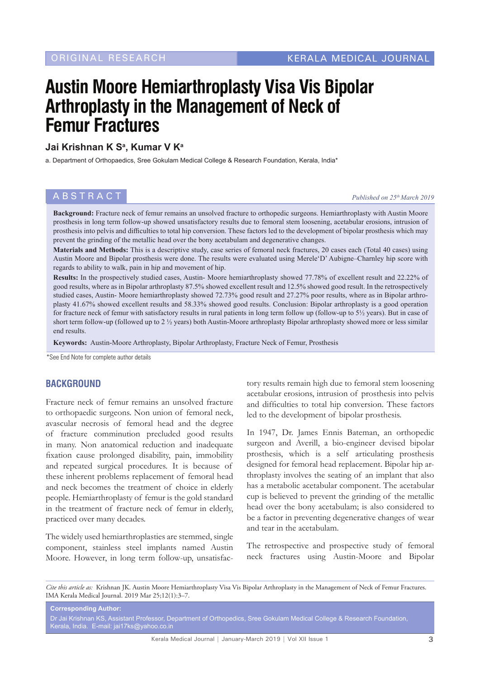# **Austin Moore Hemiarthroplasty Visa Vis Bipolar Arthroplasty in the Management of Neck of Femur Fractures**

#### **Jai Krishnan K Sa , Kumar V Ka**

a. Department of Orthopaedics, Sree Gokulam Medical College & Research Foundation, Kerala, India\*

#### **ABSTRACT** *Published on 25<sup>th</sup> March 2019*

**Background:** Fracture neck of femur remains an unsolved fracture to orthopedic surgeons. Hemiarthroplasty with Austin Moore prosthesis in long term follow-up showed unsatisfactory results due to femoral stem loosening, acetabular erosions, intrusion of prosthesis into pelvis and difficulties to total hip conversion. These factors led to the development of bipolar prosthesis which may prevent the grinding of the metallic head over the bony acetabulam and degenerative changes.

**Materials and Methods:** This is a descriptive study, case series of femoral neck fractures, 20 cases each (Total 40 cases) using Austin Moore and Bipolar prosthesis were done. The results were evaluated using Merele'D' Aubigne–Charnley hip score with regards to ability to walk, pain in hip and movement of hip.

**Results:** In the prospectively studied cases, Austin- Moore hemiarthroplasty showed 77.78% of excellent result and 22.22% of good results, where as in Bipolar arthroplasty 87.5% showed excellent result and 12.5% showed good result. In the retrospectively studied cases, Austin- Moore hemiarthroplasty showed 72.73% good result and 27.27% poor results, where as in Bipolar arthroplasty 41.67% showed excellent results and 58.33% showed good results. Conclusion: Bipolar arthroplasty is a good operation for fracture neck of femur with satisfactory results in rural patients in long term follow up (follow-up to 5½ years). But in case of short term follow-up (followed up to 2 ½ years) both Austin-Moore arthroplasty Bipolar arthroplasty showed more or less similar end results.

**Keywords:** Austin-Moore Arthroplasty, Bipolar Arthroplasty, Fracture Neck of Femur, Prosthesis

\*See End Note for complete author details

#### **BACKGROUND**

Fracture neck of femur remains an unsolved fracture to orthopaedic surgeons. Non union of femoral neck, avascular necrosis of femoral head and the degree of fracture comminution precluded good results in many. Non anatomical reduction and inadequate fixation cause prolonged disability, pain, immobility and repeated surgical procedures. It is because of these inherent problems replacement of femoral head and neck becomes the treatment of choice in elderly people. Hemiarthroplasty of femur is the gold standard in the treatment of fracture neck of femur in elderly, practiced over many decades.

The widely used hemiarthroplasties are stemmed, single component, stainless steel implants named Austin Moore. However, in long term follow-up, unsatisfac-

tory results remain high due to femoral stem loosening acetabular erosions, intrusion of prosthesis into pelvis and difficulties to total hip conversion. These factors led to the development of bipolar prosthesis.

In 1947, Dr. James Ennis Bateman, an orthopedic surgeon and Averill, a bio-engineer devised bipolar prosthesis, which is a self articulating prosthesis designed for femoral head replacement. Bipolar hip arthroplasty involves the seating of an implant that also has a metabolic acetabular component. The acetabular cup is believed to prevent the grinding of the metallic head over the bony acetabulam; is also considered to be a factor in preventing degenerative changes of wear and tear in the acetabulam.

The retrospective and prospective study of femoral neck fractures using Austin-Moore and Bipolar

*Cite this article as:* Krishnan JK. Austin Moore Hemiarthroplasty Visa Vis Bipolar Arthroplasty in the Management of Neck of Femur Fractures. IMA Kerala Medical Journal. 2019 Mar 25;12(1):3–7.

**Corresponding Author:** Dr Jai Krishnan KS, Assistant Professor, Department of Orthopedics, Sree Gokulam Medical College & Research Foundation, Kerala, India. E-mail: jai17ks@yahoo.co.in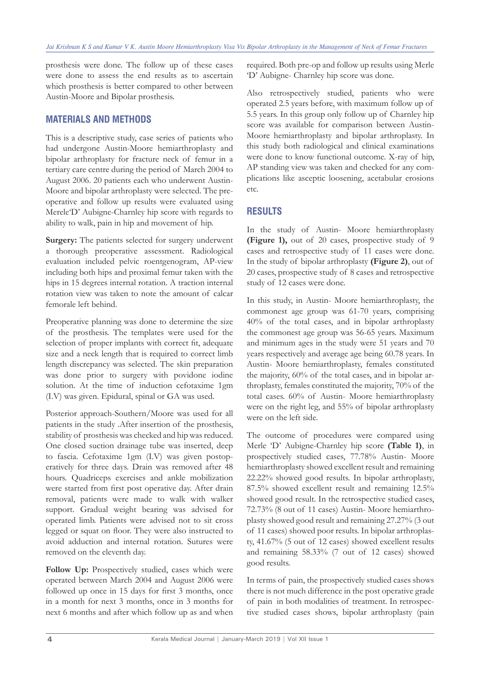prosthesis were done. The follow up of these cases were done to assess the end results as to ascertain which prosthesis is better compared to other between Austin-Moore and Bipolar prosthesis.

#### **MATERIALS AND METHODS**

This is a descriptive study, case series of patients who had undergone Austin-Moore hemiarthroplasty and bipolar arthroplasty for fracture neck of femur in a tertiary care centre during the period of March 2004 to August 2006. 20 patients each who underwent Austin-Moore and bipolar arthroplasty were selected. The preoperative and follow up results were evaluated using Merele'D' Aubigne-Charnley hip score with regards to ability to walk, pain in hip and movement of hip.

Surgery: The patients selected for surgery underwent a thorough preoperative assessment. Radiological evaluation included pelvic roentgenogram, AP-view including both hips and proximal femur taken with the hips in 15 degrees internal rotation. A traction internal rotation view was taken to note the amount of calcar femorale left behind.

Preoperative planning was done to determine the size of the prosthesis. The templates were used for the selection of proper implants with correct fit, adequate size and a neck length that is required to correct limb length discrepancy was selected. The skin preparation was done prior to surgery with povidone iodine solution. At the time of induction cefotaxime 1gm (I.V) was given. Epidural, spinal or GA was used.

Posterior approach-Southern/Moore was used for all patients in the study .After insertion of the prosthesis, stability of prosthesis was checked and hip was reduced. One closed suction drainage tube was inserted, deep to fascia. Cefotaxime 1gm (I.V) was given postoperatively for three days. Drain was removed after 48 hours. Quadriceps exercises and ankle mobilization were started from first post operative day. After drain removal, patients were made to walk with walker support. Gradual weight bearing was advised for operated limb. Patients were advised not to sit cross legged or squat on floor. They were also instructed to avoid adduction and internal rotation. Sutures were removed on the eleventh day.

**Follow Up:** Prospectively studied, cases which were operated between March 2004 and August 2006 were followed up once in 15 days for first 3 months, once in a month for next 3 months, once in 3 months for next 6 months and after which follow up as and when

required. Both pre-op and follow up results using Merle 'D' Aubigne- Charnley hip score was done.

Also retrospectively studied, patients who were operated 2.5 years before, with maximum follow up of 5.5 years. In this group only follow up of Charnley hip score was available for comparison between Austin-Moore hemiarthroplasty and bipolar arthroplasty. In this study both radiological and clinical examinations were done to know functional outcome. X-ray of hip, AP standing view was taken and checked for any complications like asceptic loosening, acetabular erosions etc.

### **RESULTS**

In the study of Austin- Moore hemiarthroplasty **(Figure 1),** out of 20 cases, prospective study of 9 cases and retrospective study of 11 cases were done. In the study of bipolar arthroplasty **(Figure 2)**, out of 20 cases, prospective study of 8 cases and retrospective study of 12 cases were done.

In this study, in Austin- Moore hemiarthroplasty, the commonest age group was 61-70 years, comprising 40% of the total cases, and in bipolar arthroplasty the commonest age group was 56-65 years. Maximum and minimum ages in the study were 51 years and 70 years respectively and average age being 60.78 years. In Austin- Moore hemiarthroplasty, females constituted the majority, 60% of the total cases, and in bipolar arthroplasty, females constituted the majority, 70% of the total cases. 60% of Austin- Moore hemiarthroplasty were on the right leg, and 55% of bipolar arthroplasty were on the left side.

The outcome of procedures were compared using Merle 'D' Aubigne-Charnley hip score **(Table 1)**, in prospectively studied cases, 77.78% Austin- Moore hemiarthroplasty showed excellent result and remaining 22.22% showed good results. In bipolar arthroplasty, 87.5% showed excellent result and remaining 12.5% showed good result. In the retrospective studied cases, 72.73% (8 out of 11 cases) Austin- Moore hemiarthroplasty showed good result and remaining 27.27% (3 out of 11 cases) showed poor results. In bipolar arthroplasty, 41.67% (5 out of 12 cases) showed excellent results and remaining 58.33% (7 out of 12 cases) showed good results.

In terms of pain, the prospectively studied cases shows there is not much difference in the post operative grade of pain in both modalities of treatment. In retrospective studied cases shows, bipolar arthroplasty (pain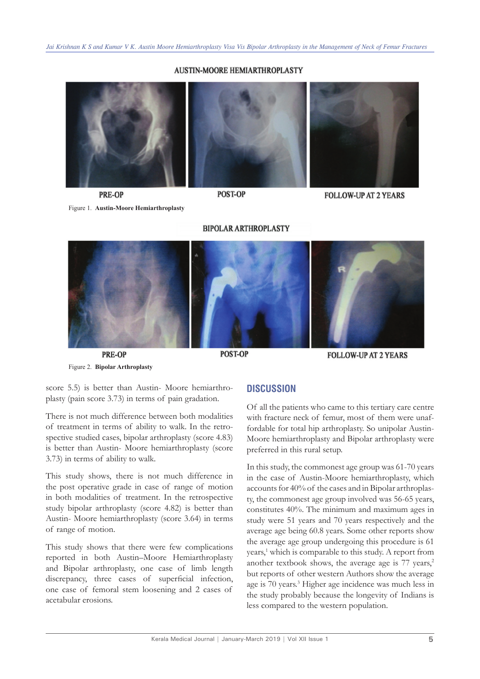#### **AUSTIN-MOORE HEMIARTHROPLASTY**

**PRE-OP** 

POST-OP

**FOLLOW-UP AT 2 YEARS** 

Figure 1. **Austin-Moore Hemiarthroplasty**

**BIPOLAR ARTHROPLASTY** 



**PRE-OP** Figure 2. **Bipolar Arthroplasty**

**POST-OP** 

**FOLLOW-UP AT 2 YEARS** 

score 5.5) is better than Austin- Moore hemiarthroplasty (pain score 3.73) in terms of pain gradation.

There is not much difference between both modalities of treatment in terms of ability to walk. In the retrospective studied cases, bipolar arthroplasty (score 4.83) is better than Austin- Moore hemiarthroplasty (score 3.73) in terms of ability to walk.

This study shows, there is not much difference in the post operative grade in case of range of motion in both modalities of treatment. In the retrospective study bipolar arthroplasty (score 4.82) is better than Austin- Moore hemiarthroplasty (score 3.64) in terms of range of motion.

This study shows that there were few complications reported in both Austin–Moore Hemiarthroplasty and Bipolar arthroplasty, one case of limb length discrepancy, three cases of superficial infection, one case of femoral stem loosening and 2 cases of acetabular erosions.

#### **DISCUSSION**

Of all the patients who came to this tertiary care centre with fracture neck of femur, most of them were unaffordable for total hip arthroplasty. So unipolar Austin-Moore hemiarthroplasty and Bipolar arthroplasty were preferred in this rural setup.

In this study, the commonest age group was 61-70 years in the case of Austin-Moore hemiarthroplasty, which accounts for 40% of the cases and in Bipolar arthroplasty, the commonest age group involved was 56-65 years, constitutes 40%. The minimum and maximum ages in study were 51 years and 70 years respectively and the average age being 60.8 years. Some other reports show the average age group undergoing this procedure is 61 years,<sup>1</sup> which is comparable to this study. A report from another textbook shows, the average age is  $77$  years,<sup>2</sup> but reports of other western Authors show the average age is 70 years.3 Higher age incidence was much less in the study probably because the longevity of Indians is less compared to the western population.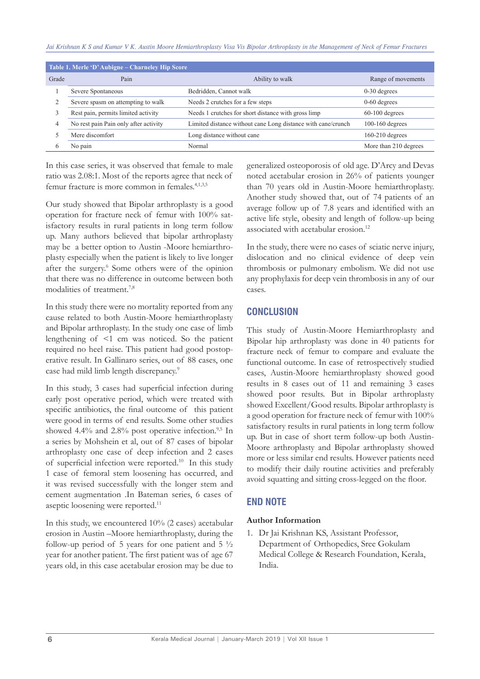*Jai Krishnan K S and Kumar V K. Austin Moore Hemiarthroplasty Visa Vis Bipolar Arthroplasty in the Management of Neck of Femur Fractures*

| Table 1. Merle 'D' Aubigne – Charneley Hip Score |                                       |                                                              |                       |
|--------------------------------------------------|---------------------------------------|--------------------------------------------------------------|-----------------------|
| Grade                                            | Pain                                  | Ability to walk                                              | Range of movements    |
|                                                  | Severe Spontaneous                    | Bedridden, Cannot walk                                       | $0-30$ degrees        |
|                                                  | Severe spasm on attempting to walk    | Needs 2 crutches for a few steps                             | $0-60$ degrees        |
|                                                  | Rest pain, permits limited activity   | Needs 1 crutches for short distance with gross limp          | $60-100$ degrees      |
|                                                  | No rest pain Pain only after activity | Limited distance without cane Long distance with cane/crunch | $100-160$ degrees     |
|                                                  | Mere discomfort                       | Long distance without cane                                   | $160-210$ degrees     |
|                                                  | No pain                               | Normal                                                       | More than 210 degrees |

In this case series, it was observed that female to male ratio was 2.08:1. Most of the reports agree that neck of femur fracture is more common in females.<sup>4,1,3,5</sup>

Our study showed that Bipolar arthroplasty is a good operation for fracture neck of femur with 100% satisfactory results in rural patients in long term follow up. Many authors believed that bipolar arthroplasty may be a better option to Austin -Moore hemiarthroplasty especially when the patient is likely to live longer after the surgery.<sup>6</sup> Some others were of the opinion that there was no difference in outcome between both modalities of treatment.7,8

In this study there were no mortality reported from any cause related to both Austin-Moore hemiarthroplasty and Bipolar arthroplasty. In the study one case of limb lengthening of <1 cm was noticed. So the patient required no heel raise. This patient had good postoperative result. In Gallinaro series, out of 88 cases, one case had mild limb length discrepancy.<sup>9</sup>

In this study, 3 cases had superficial infection during early post operative period, which were treated with specific antibiotics, the final outcome of this patient were good in terms of end results. Some other studies showed 4.4% and 2.8% post operative infection. $9,5$  In a series by Mohshein et al, out of 87 cases of bipolar arthroplasty one case of deep infection and 2 cases of superficial infection were reported.10 In this study 1 case of femoral stem loosening has occurred, and it was revised successfully with the longer stem and cement augmentation .In Bateman series, 6 cases of aseptic loosening were reported.<sup>11</sup>

In this study, we encountered 10% (2 cases) acetabular erosion in Austin –Moore hemiarthroplasty, during the follow-up period of 5 years for one patient and  $5\frac{1}{2}$ year for another patient. The first patient was of age 67 years old, in this case acetabular erosion may be due to

generalized osteoporosis of old age. D'Arcy and Devas noted acetabular erosion in 26% of patients younger than 70 years old in Austin-Moore hemiarthroplasty. Another study showed that, out of 74 patients of an average follow up of 7.8 years and identified with an active life style, obesity and length of follow-up being associated with acetabular erosion.<sup>12</sup>

In the study, there were no cases of sciatic nerve injury, dislocation and no clinical evidence of deep vein thrombosis or pulmonary embolism. We did not use any prophylaxis for deep vein thrombosis in any of our cases.

# **CONCLUSION**

This study of Austin-Moore Hemiarthroplasty and Bipolar hip arthroplasty was done in 40 patients for fracture neck of femur to compare and evaluate the functional outcome. In case of retrospectively studied cases, Austin-Moore hemiarthroplasty showed good results in 8 cases out of 11 and remaining 3 cases showed poor results. But in Bipolar arthroplasty showed Excellent/Good results. Bipolar arthroplasty is a good operation for fracture neck of femur with 100% satisfactory results in rural patients in long term follow up. But in case of short term follow-up both Austin-Moore arthroplasty and Bipolar arthroplasty showed more or less similar end results. However patients need to modify their daily routine activities and preferably avoid squatting and sitting cross-legged on the floor.

# **END NOTE**

#### **Author Information**

1. Dr Jai Krishnan KS, Assistant Professor, Department of Orthopedics, Sree Gokulam Medical College & Research Foundation, Kerala, India.